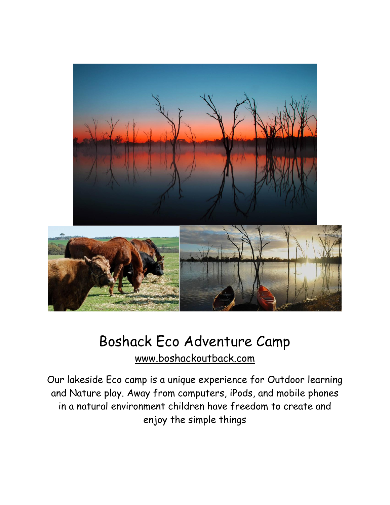

## Boshack Eco Adventure Camp [www.boshackoutback.com](http://www.boshackoutback.com/)

Our lakeside Eco camp is a unique experience for Outdoor learning and Nature play. Away from computers, iPods, and mobile phones in a natural environment children have freedom to create and enjoy the simple things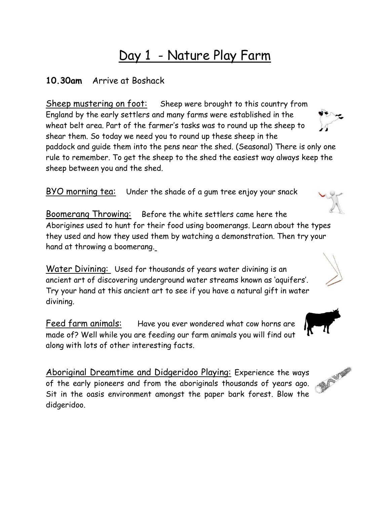## Day 1 - Nature Play Farm

#### **10.30am** Arrive at Boshack

Sheep mustering on foot: Sheep were brought to this country from England by the early settlers and many farms were established in the wheat belt area. Part of the farmer's tasks was to round up the sheep to shear them. So today we need you to round up these sheep in the paddock and guide them into the pens near the shed. (Seasonal) There is only one rule to remember. To get the sheep to the shed the easiest way always keep the sheep between you and the shed.

BYO morning tea: Under the shade of a gum tree enjoy your snack

Boomerang Throwing: Before the white settlers came here the Aborigines used to hunt for their food using boomerangs. Learn about the types they used and how they used them by watching a demonstration. Then try your hand at throwing a boomerang.

Water Divining: Used for thousands of years water divining is an ancient art of discovering underground water streams known as 'aquifers'. Try your hand at this ancient art to see if you have a natural gift in water divining.

Feed farm animals: Have you ever wondered what cow horns are made of? Well while you are feeding our farm animals you will find out along with lots of other interesting facts.

Aboriginal Dreamtime and Didgeridoo Playing: Experience the ways of the early pioneers and from the aboriginals thousands of years ago. Sit in the oasis environment amongst the paper bark forest. Blow the didgeridoo.







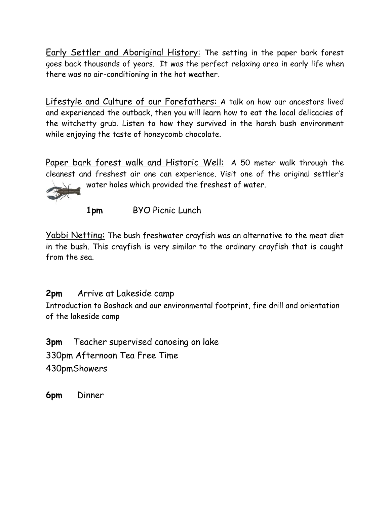Early Settler and Aboriginal History: The setting in the paper bark forest goes back thousands of years. It was the perfect relaxing area in early life when there was no air-conditioning in the hot weather.

Lifestyle and Culture of our Forefathers: A talk on how our ancestors lived and experienced the outback, then you will learn how to eat the local delicacies of the witchetty grub. Listen to how they survived in the harsh bush environment while enjoying the taste of honeycomb chocolate.

Paper bark forest walk and Historic Well: A 50 meter walk through the cleanest and freshest air one can experience. Visit one of the original settler's water holes which provided the freshest of water.

**1pm** BYO Picnic Lunch

Yabbi Netting: The bush freshwater crayfish was an alternative to the meat diet in the bush. This crayfish is very similar to the ordinary crayfish that is caught from the sea.

#### **2pm** Arrive at Lakeside camp

Introduction to Boshack and our environmental footprint, fire drill and orientation of the lakeside camp

**3pm** Teacher supervised canoeing on lake 330pm Afternoon Tea Free Time 430pmShowers

**6pm** Dinner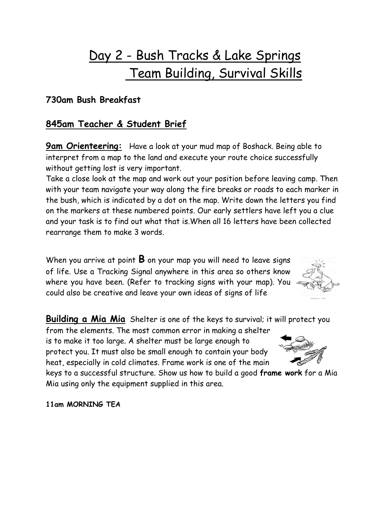# Day 2 - Bush Tracks & Lake Springs Team Building, Survival Skills

#### **730am Bush Breakfast**

#### **845am Teacher & Student Brief**

**9am Orienteering:** Have a look at your mud map of Boshack. Being able to interpret from a map to the land and execute your route choice successfully without getting lost is very important.

Take a close look at the map and work out your position before leaving camp. Then with your team navigate your way along the fire breaks or roads to each marker in the bush, which is indicated by a dot on the map. Write down the letters you find on the markers at these numbered points. Our early settlers have left you a clue and your task is to find out what that is.When all 16 letters have been collected rearrange them to make 3 words.

When you arrive at point **B** on your map you will need to leave signs of life. Use a Tracking Signal anywhere in this area so others know where you have been. (Refer to tracking signs with your map). You could also be creative and leave your own ideas of signs of life



from the elements. The most common error in making a shelter is to make it too large. A shelter must be large enough to protect you. It must also be small enough to contain your body heat, especially in cold climates. Frame work is one of the main

keys to a successful structure. Show us how to build a good **frame work** for a Mia Mia using only the equipment supplied in this area.

**11am MORNING TEA**

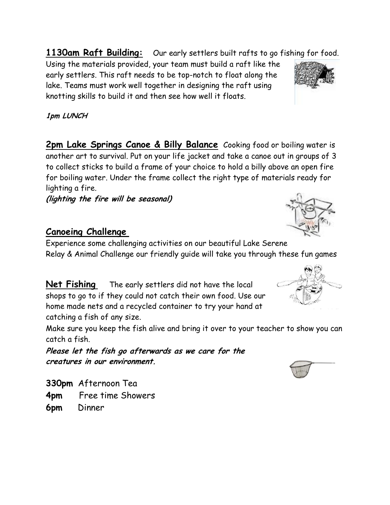**1130am Raft Building:** Our early settlers built rafts to go fishing for food.

Using the materials provided, your team must build a raft like the early settlers. This raft needs to be top-notch to float along the lake. Teams must work well together in designing the raft using knotting skills to build it and then see how well it floats.

**1pm LUNCH**

**2pm Lake Springs Canoe & Billy Balance** Cooking food or boiling water is another art to survival. Put on your life jacket and take a canoe out in groups of 3 to collect sticks to build a frame of your choice to hold a billy above an open fire for boiling water. Under the frame collect the right type of materials ready for lighting a fire.

**(lighting the fire will be seasonal)**

### **Canoeing Challenge**

Experience some challenging activities on our beautiful Lake Serene Relay & Animal Challenge our friendly guide will take you through these fun games

**Net Fishing** The early settlers did not have the local shops to go to if they could not catch their own food. Use our home made nets and a recycled container to try your hand at catching a fish of any size.

Make sure you keep the fish alive and bring it over to your teacher to show you can catch a fish.

**Please let the fish go afterwards as we care for the creatures in our environment.**

**330pm** Afternoon Tea **4pm** Free time Showers **6pm** Dinner